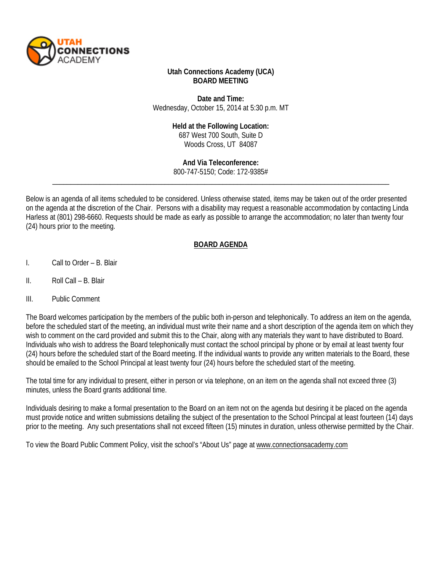

### **Utah Connections Academy (UCA) BOARD MEETING**

**Date and Time:** Wednesday, October 15, 2014 at 5:30 p.m. MT

#### **Held at the Following Location:**

687 West 700 South, Suite D Woods Cross, UT 84087

\_\_\_\_\_\_\_\_\_\_\_\_\_\_\_\_\_\_\_\_\_\_\_\_\_\_\_\_\_\_\_\_\_\_\_\_\_\_\_\_\_\_\_\_\_\_\_\_\_\_\_\_\_\_\_\_\_\_\_\_\_\_\_\_\_\_\_\_\_\_\_\_\_\_\_\_\_\_\_\_\_\_\_\_\_\_\_\_\_\_\_\_\_ **And Via Teleconference:** 800-747-5150; Code: 172-9385#

Below is an agenda of all items scheduled to be considered. Unless otherwise stated, items may be taken out of the order presented on the agenda at the discretion of the Chair. Persons with a disability may request a reasonable accommodation by contacting Linda Harless at (801) 298-6660. Requests should be made as early as possible to arrange the accommodation; no later than twenty four (24) hours prior to the meeting.

### **BOARD AGENDA**

- I. Call to Order B. Blair
- II. Roll Call B. Blair
- III. Public Comment

The Board welcomes participation by the members of the public both in-person and telephonically. To address an item on the agenda, before the scheduled start of the meeting, an individual must write their name and a short description of the agenda item on which they wish to comment on the card provided and submit this to the Chair, along with any materials they want to have distributed to Board. Individuals who wish to address the Board telephonically must contact the school principal by phone or by email at least twenty four (24) hours before the scheduled start of the Board meeting. If the individual wants to provide any written materials to the Board, these should be emailed to the School Principal at least twenty four (24) hours before the scheduled start of the meeting.

The total time for any individual to present, either in person or via telephone, on an item on the agenda shall not exceed three (3) minutes, unless the Board grants additional time.

Individuals desiring to make a formal presentation to the Board on an item not on the agenda but desiring it be placed on the agenda must provide notice and written submissions detailing the subject of the presentation to the School Principal at least fourteen (14) days prior to the meeting. Any such presentations shall not exceed fifteen (15) minutes in duration, unless otherwise permitted by the Chair.

To view the Board Public Comment Policy, visit the school's "About Us" page a[t www.connectionsacademy.com](http://www.connectionsacademy.com/)